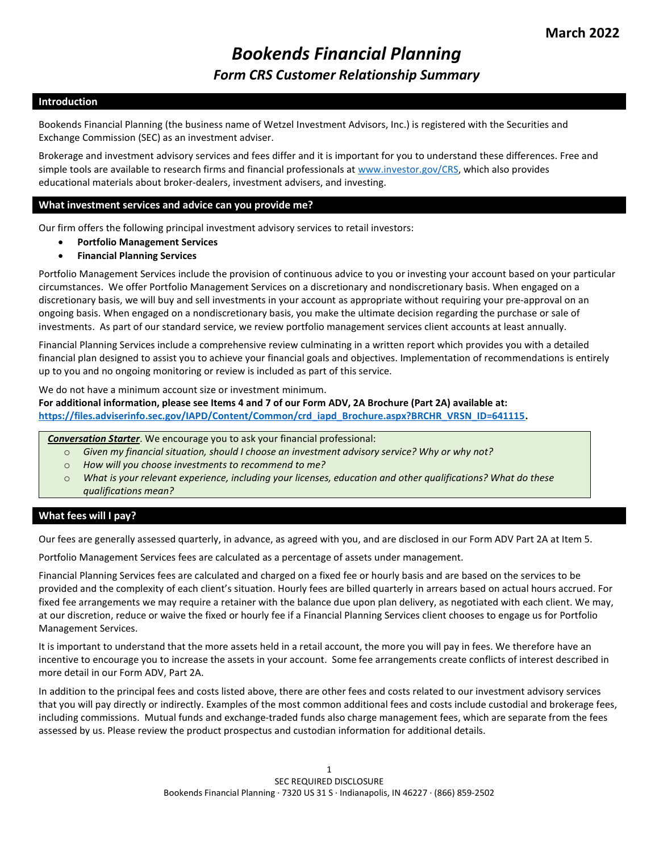# Bookends Financial Planning Form CRS Customer Relationship Summary

# Introduction

Bookends Financial Planning (the business name of Wetzel Investment Advisors, Inc.) is registered with the Securities and Exchange Commission (SEC) as an investment adviser.

Brokerage and investment advisory services and fees differ and it is important for you to understand these differences. Free and simple tools are available to research firms and financial professionals at www.investor.gov/CRS, which also provides educational materials about broker-dealers, investment advisers, and investing.

#### What investment services and advice can you provide me?

Our firm offers the following principal investment advisory services to retail investors:

- Portfolio Management Services
- Financial Planning Services

Portfolio Management Services include the provision of continuous advice to you or investing your account based on your particular circumstances. We offer Portfolio Management Services on a discretionary and nondiscretionary basis. When engaged on a discretionary basis, we will buy and sell investments in your account as appropriate without requiring your pre-approval on an ongoing basis. When engaged on a nondiscretionary basis, you make the ultimate decision regarding the purchase or sale of investments. As part of our standard service, we review portfolio management services client accounts at least annually.

Financial Planning Services include a comprehensive review culminating in a written report which provides you with a detailed financial plan designed to assist you to achieve your financial goals and objectives. Implementation of recommendations is entirely up to you and no ongoing monitoring or review is included as part of this service.

We do not have a minimum account size or investment minimum.

For additional information, please see Items 4 and 7 of our Form ADV, 2A Brochure (Part 2A) available at: https://files.adviserinfo.sec.gov/IAPD/Content/Common/crd\_iapd\_Brochure.aspx?BRCHR\_VRSN\_ID=641115.

Conversation Starter. We encourage you to ask your financial professional:

- $\circ$  Given my financial situation, should I choose an investment advisory service? Why or why not?
- o How will you choose investments to recommend to me?
- o What is your relevant experience, including your licenses, education and other qualifications? What do these qualifications mean?

# What fees will I pay?

Our fees are generally assessed quarterly, in advance, as agreed with you, and are disclosed in our Form ADV Part 2A at Item 5.

Portfolio Management Services fees are calculated as a percentage of assets under management.

Financial Planning Services fees are calculated and charged on a fixed fee or hourly basis and are based on the services to be provided and the complexity of each client's situation. Hourly fees are billed quarterly in arrears based on actual hours accrued. For fixed fee arrangements we may require a retainer with the balance due upon plan delivery, as negotiated with each client. We may, at our discretion, reduce or waive the fixed or hourly fee if a Financial Planning Services client chooses to engage us for Portfolio Management Services.

It is important to understand that the more assets held in a retail account, the more you will pay in fees. We therefore have an incentive to encourage you to increase the assets in your account. Some fee arrangements create conflicts of interest described in more detail in our Form ADV, Part 2A.

In addition to the principal fees and costs listed above, there are other fees and costs related to our investment advisory services that you will pay directly or indirectly. Examples of the most common additional fees and costs include custodial and brokerage fees, including commissions. Mutual funds and exchange-traded funds also charge management fees, which are separate from the fees assessed by us. Please review the product prospectus and custodian information for additional details.